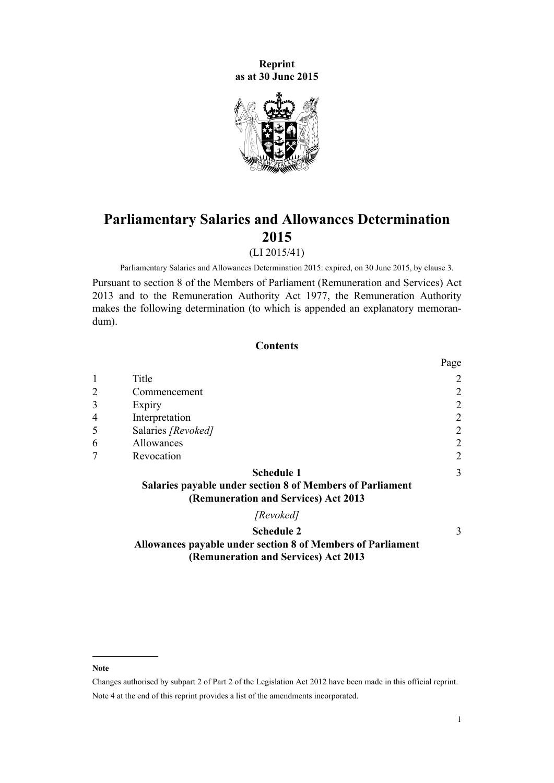**Reprint as at 30 June 2015**



# **Parliamentary Salaries and Allowances Determination 2015**

(LI 2015/41)

Parliamentary Salaries and Allowances Determination 2015: expired, on 30 June 2015, by [clause 3](#page-1-0).

Pursuant to [section 8](http://prd-lgnz-nlb.prd.pco.net.nz/pdflink.aspx?id=DLM4034270) of the Members of Parliament (Remuneration and Services) Act 2013 and to the [Remuneration Authority Act 1977,](http://prd-lgnz-nlb.prd.pco.net.nz/pdflink.aspx?id=DLM15636) the Remuneration Authority makes the following determination (to which is appended an [explanatory memoran](#page-3-0)[dum\)](#page-3-0).

## **Contents**

|                |                                                                                                                        | Page           |
|----------------|------------------------------------------------------------------------------------------------------------------------|----------------|
|                | Title                                                                                                                  | $\overline{2}$ |
| $\overline{2}$ | Commencement                                                                                                           | $\overline{2}$ |
| 3              | Expiry                                                                                                                 | $\overline{2}$ |
| $\overline{4}$ | Interpretation                                                                                                         | $\overline{2}$ |
| 5              | Salaries [Revoked]                                                                                                     | $\overline{2}$ |
| 6              | Allowances                                                                                                             | $\overline{2}$ |
| 7              | Revocation                                                                                                             | 2              |
|                | <b>Schedule 1</b><br>Salaries payable under section 8 of Members of Parliament<br>(Remuneration and Services) Act 2013 | 3              |
|                | [Revoked]                                                                                                              |                |

## **[Schedule 2](#page-2-0)**

[3](#page-2-0)

## **[Allowances payable under section 8 of Members of Parliament](#page-2-0) [\(Remuneration and Services\) Act 2013](#page-2-0)**

**Note**

Changes authorised by [subpart 2](http://prd-lgnz-nlb.prd.pco.net.nz/pdflink.aspx?id=DLM2998524) of Part 2 of the Legislation Act 2012 have been made in this official reprint. Note 4 at the end of this reprint provides a list of the amendments incorporated.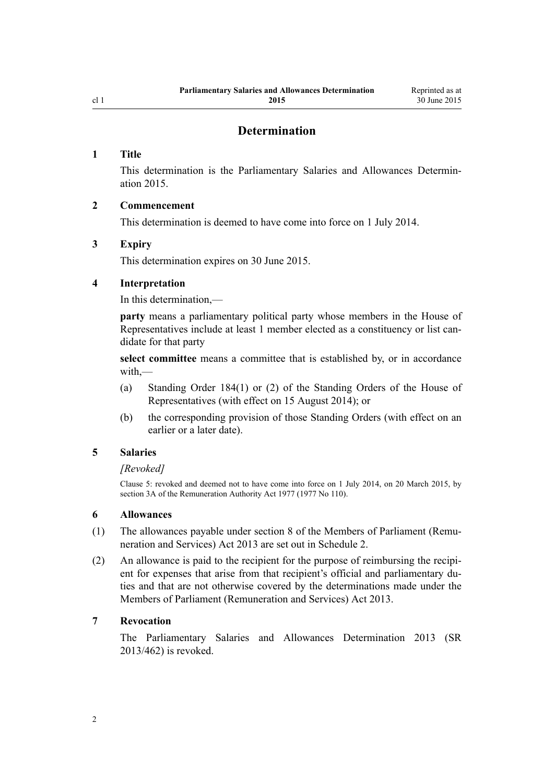## **Determination**

## <span id="page-1-0"></span>**1 Title**

This determination is the Parliamentary Salaries and Allowances Determination 2015.

## **2 Commencement**

This determination is deemed to have come into force on 1 July 2014.

## **3 Expiry**

This determination expires on 30 June 2015.

## **4 Interpretation**

In this determination,—

**party** means a parliamentary political party whose members in the House of Representatives include at least 1 member elected as a constituency or list candidate for that party

**select committee** means a committee that is established by, or in accordance with,—

- (a) Standing Order 184(1) or (2) of the Standing Orders of the House of Representatives (with effect on 15 August 2014); or
- (b) the corresponding provision of those Standing Orders (with effect on an earlier or a later date).

## **5 Salaries**

#### *[Revoked]*

Clause 5: revoked and deemed not to have come into force on 1 July 2014, on 20 March 2015, by [section 3A](http://prd-lgnz-nlb.prd.pco.net.nz/pdflink.aspx?id=DLM6417100) of the Remuneration Authority Act 1977 (1977 No 110).

#### **6 Allowances**

- (1) The allowances payable under [section 8](http://prd-lgnz-nlb.prd.pco.net.nz/pdflink.aspx?id=DLM4034270) of the Members of Parliament (Remuneration and Services) Act 2013 are set out in [Schedule 2.](#page-2-0)
- (2) An allowance is paid to the recipient for the purpose of reimbursing the recipient for expenses that arise from that recipient's official and parliamentary duties and that are not otherwise covered by the determinations made under the [Members of Parliament \(Remuneration and Services\) Act 2013](http://prd-lgnz-nlb.prd.pco.net.nz/pdflink.aspx?id=DLM4034212).

## **7 Revocation**

The [Parliamentary Salaries and Allowances Determination 2013](http://prd-lgnz-nlb.prd.pco.net.nz/pdflink.aspx?id=DLM5736818) (SR 2013/462) is revoked.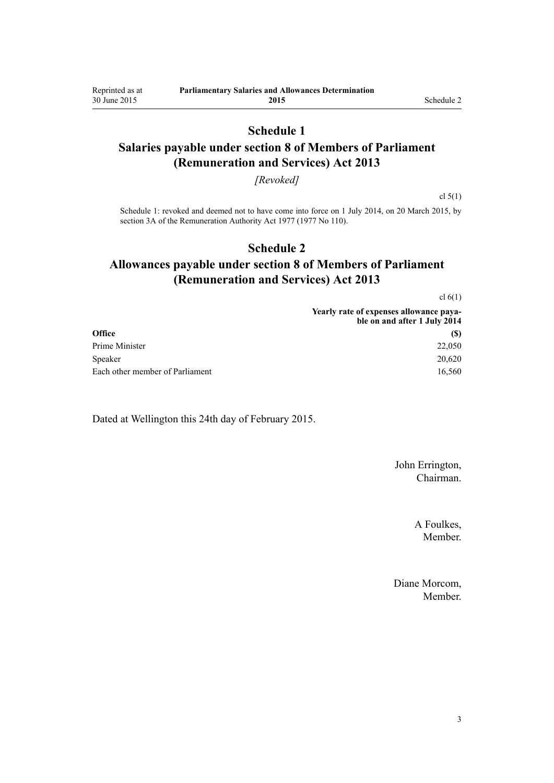## **Schedule 1**

## <span id="page-2-0"></span>**Salaries payable under section 8 of Members of Parliament (Remuneration and Services) Act 2013**

#### *[Revoked]*

cl  $5(1)$ 

Schedule 1: revoked and deemed not to have come into force on 1 July 2014, on 20 March 2015, by [section 3A](http://prd-lgnz-nlb.prd.pco.net.nz/pdflink.aspx?id=DLM6417100) of the Remuneration Authority Act 1977 (1977 No 110).

## **Schedule 2**

## **Allowances payable under section 8 of Members of Parliament (Remuneration and Services) Act 2013**

[cl 6\(1\)](#page-1-0)

|                                 | Yearly rate of expenses allowance paya-<br>ble on and after 1 July 2014 |
|---------------------------------|-------------------------------------------------------------------------|
| Office                          | (S)                                                                     |
| Prime Minister                  | 22,050                                                                  |
| Speaker                         | 20,620                                                                  |
| Each other member of Parliament | 16,560                                                                  |

Dated at Wellington this 24th day of February 2015.

John Errington, Chairman.

> A Foulkes, Member.

Diane Morcom, Member.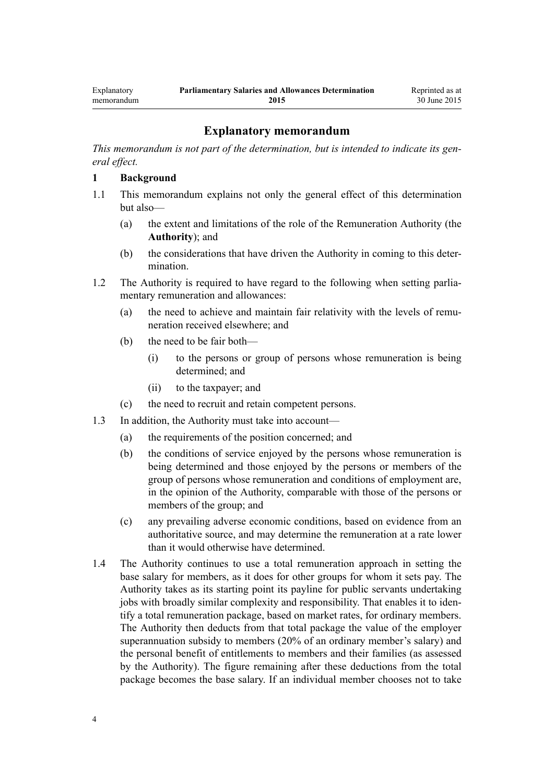## **Explanatory memorandum**

<span id="page-3-0"></span>*This memorandum is not part of the determination, but is intended to indicate its general effect.*

#### **1 Background**

- 1.1 This memorandum explains not only the general effect of this determination but also—
	- (a) the extent and limitations of the role of the Remuneration Authority (the **Authority**); and
	- (b) the considerations that have driven the Authority in coming to this determination.
- 1.2 The Authority is required to have regard to the following when setting parliamentary remuneration and allowances:
	- (a) the need to achieve and maintain fair relativity with the levels of remuneration received elsewhere; and
	- (b) the need to be fair both—
		- (i) to the persons or group of persons whose remuneration is being determined; and
		- (ii) to the taxpayer; and
	- (c) the need to recruit and retain competent persons.
- 1.3 In addition, the Authority must take into account—
	- (a) the requirements of the position concerned; and
	- (b) the conditions of service enjoyed by the persons whose remuneration is being determined and those enjoyed by the persons or members of the group of persons whose remuneration and conditions of employment are, in the opinion of the Authority, comparable with those of the persons or members of the group; and
	- (c) any prevailing adverse economic conditions, based on evidence from an authoritative source, and may determine the remuneration at a rate lower than it would otherwise have determined.
- 1.4 The Authority continues to use a total remuneration approach in setting the base salary for members, as it does for other groups for whom it sets pay. The Authority takes as its starting point its payline for public servants undertaking jobs with broadly similar complexity and responsibility. That enables it to identify a total remuneration package, based on market rates, for ordinary members. The Authority then deducts from that total package the value of the employer superannuation subsidy to members (20% of an ordinary member's salary) and the personal benefit of entitlements to members and their families (as assessed by the Authority). The figure remaining after these deductions from the total package becomes the base salary. If an individual member chooses not to take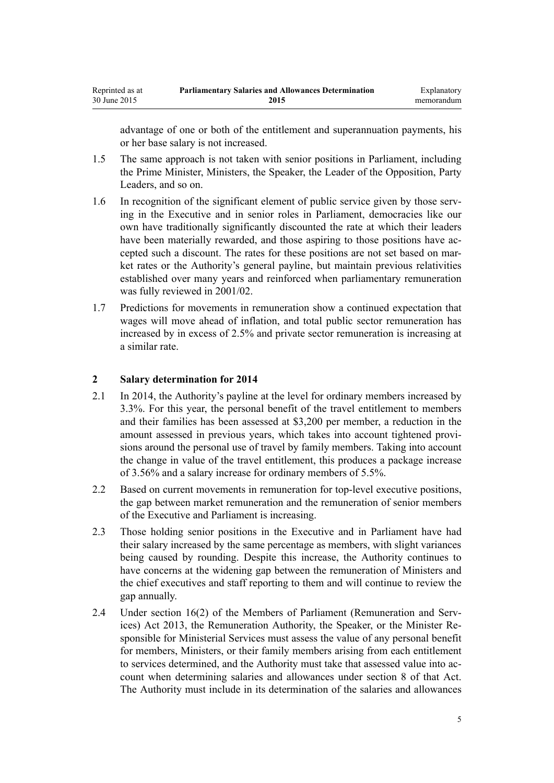advantage of one or both of the entitlement and superannuation payments, his or her base salary is not increased.

- 1.5 The same approach is not taken with senior positions in Parliament, including the Prime Minister, Ministers, the Speaker, the Leader of the Opposition, Party Leaders, and so on.
- 1.6 In recognition of the significant element of public service given by those serving in the Executive and in senior roles in Parliament, democracies like our own have traditionally significantly discounted the rate at which their leaders have been materially rewarded, and those aspiring to those positions have accepted such a discount. The rates for these positions are not set based on market rates or the Authority's general payline, but maintain previous relativities established over many years and reinforced when parliamentary remuneration was fully reviewed in 2001/02.
- 1.7 Predictions for movements in remuneration show a continued expectation that wages will move ahead of inflation, and total public sector remuneration has increased by in excess of 2.5% and private sector remuneration is increasing at a similar rate.

## **2 Salary determination for 2014**

- 2.1 In 2014, the Authority's payline at the level for ordinary members increased by 3.3%. For this year, the personal benefit of the travel entitlement to members and their families has been assessed at \$3,200 per member, a reduction in the amount assessed in previous years, which takes into account tightened provisions around the personal use of travel by family members. Taking into account the change in value of the travel entitlement, this produces a package increase of 3.56% and a salary increase for ordinary members of 5.5%.
- 2.2 Based on current movements in remuneration for top-level executive positions, the gap between market remuneration and the remuneration of senior members of the Executive and Parliament is increasing.
- 2.3 Those holding senior positions in the Executive and in Parliament have had their salary increased by the same percentage as members, with slight variances being caused by rounding. Despite this increase, the Authority continues to have concerns at the widening gap between the remuneration of Ministers and the chief executives and staff reporting to them and will continue to review the gap annually.
- 2.4 Under [section 16\(2\)](http://prd-lgnz-nlb.prd.pco.net.nz/pdflink.aspx?id=DLM4034280) of the Members of Parliament (Remuneration and Services) Act 2013, the Remuneration Authority, the Speaker, or the Minister Responsible for Ministerial Services must assess the value of any personal benefit for members, Ministers, or their family members arising from each entitlement to services determined, and the Authority must take that assessed value into account when determining salaries and allowances under [section 8](http://prd-lgnz-nlb.prd.pco.net.nz/pdflink.aspx?id=DLM4034270) of that Act. The Authority must include in its determination of the salaries and allowances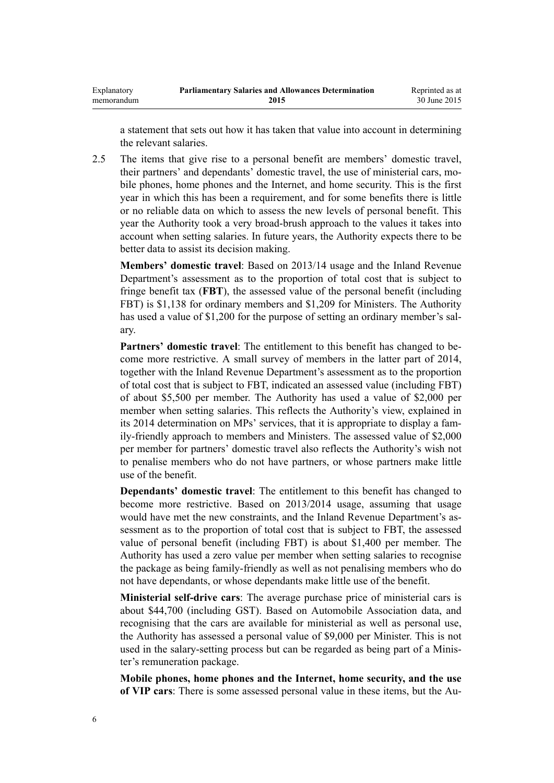a statement that sets out how it has taken that value into account in determining the relevant salaries.

2.5 The items that give rise to a personal benefit are members' domestic travel, their partners' and dependants' domestic travel, the use of ministerial cars, mobile phones, home phones and the Internet, and home security. This is the first year in which this has been a requirement, and for some benefits there is little or no reliable data on which to assess the new levels of personal benefit. This year the Authority took a very broad-brush approach to the values it takes into account when setting salaries. In future years, the Authority expects there to be better data to assist its decision making.

**Members' domestic travel**: Based on 2013/14 usage and the Inland Revenue Department's assessment as to the proportion of total cost that is subject to fringe benefit tax (**FBT**), the assessed value of the personal benefit (including FBT) is \$1,138 for ordinary members and \$1,209 for Ministers. The Authority has used a value of \$1,200 for the purpose of setting an ordinary member's salary.

**Partners' domestic travel**: The entitlement to this benefit has changed to become more restrictive. A small survey of members in the latter part of 2014, together with the Inland Revenue Department's assessment as to the proportion of total cost that is subject to FBT, indicated an assessed value (including FBT) of about \$5,500 per member. The Authority has used a value of \$2,000 per member when setting salaries. This reflects the Authority's view, explained in its 2014 determination on MPs' services, that it is appropriate to display a family-friendly approach to members and Ministers. The assessed value of \$2,000 per member for partners' domestic travel also reflects the Authority's wish not to penalise members who do not have partners, or whose partners make little use of the benefit.

**Dependants' domestic travel**: The entitlement to this benefit has changed to become more restrictive. Based on 2013/2014 usage, assuming that usage would have met the new constraints, and the Inland Revenue Department's assessment as to the proportion of total cost that is subject to FBT, the assessed value of personal benefit (including FBT) is about \$1,400 per member. The Authority has used a zero value per member when setting salaries to recognise the package as being family-friendly as well as not penalising members who do not have dependants, or whose dependants make little use of the benefit.

**Ministerial self-drive cars**: The average purchase price of ministerial cars is about \$44,700 (including GST). Based on Automobile Association data, and recognising that the cars are available for ministerial as well as personal use, the Authority has assessed a personal value of \$9,000 per Minister. This is not used in the salary-setting process but can be regarded as being part of a Minister's remuneration package.

**Mobile phones, home phones and the Internet, home security, and the use of VIP cars**: There is some assessed personal value in these items, but the Au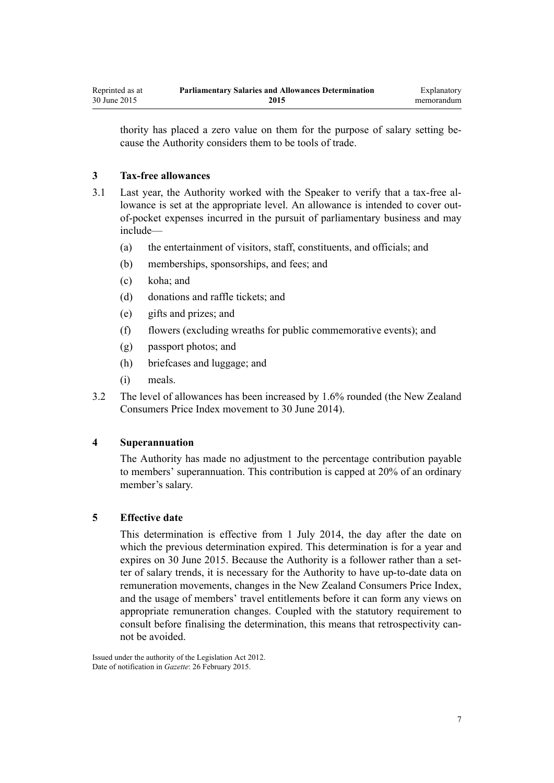thority has placed a zero value on them for the purpose of salary setting because the Authority considers them to be tools of trade.

## **3 Tax-free allowances**

- 3.1 Last year, the Authority worked with the Speaker to verify that a tax-free allowance is set at the appropriate level. An allowance is intended to cover outof-pocket expenses incurred in the pursuit of parliamentary business and may include—
	- (a) the entertainment of visitors, staff, constituents, and officials; and
	- (b) memberships, sponsorships, and fees; and
	- (c) koha; and
	- (d) donations and raffle tickets; and
	- (e) gifts and prizes; and
	- (f) flowers (excluding wreaths for public commemorative events); and
	- (g) passport photos; and
	- (h) briefcases and luggage; and
	- (i) meals.
- 3.2 The level of allowances has been increased by 1.6% rounded (the New Zealand Consumers Price Index movement to 30 June 2014).

#### **4 Superannuation**

The Authority has made no adjustment to the percentage contribution payable to members' superannuation. This contribution is capped at 20% of an ordinary member's salary.

#### **5 Effective date**

This determination is effective from 1 July 2014, the day after the date on which the previous determination expired. This determination is for a year and expires on 30 June 2015. Because the Authority is a follower rather than a setter of salary trends, it is necessary for the Authority to have up-to-date data on remuneration movements, changes in the New Zealand Consumers Price Index, and the usage of members' travel entitlements before it can form any views on appropriate remuneration changes. Coupled with the statutory requirement to consult before finalising the determination, this means that retrospectivity cannot be avoided.

Issued under the authority of the [Legislation Act 2012](http://prd-lgnz-nlb.prd.pco.net.nz/pdflink.aspx?id=DLM2997643). Date of notification in *Gazette*: 26 February 2015.